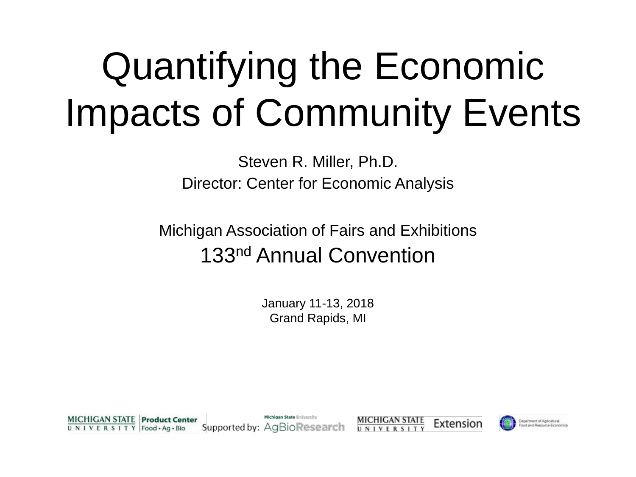# Quantifying the Economic Impacts of Community Events

Steven R. Miller, Ph.D. Director: Center for Economic Analysis

Michigan Association of Fairs and Exhibitions 133nd Annual Convention

> January 11-13, 2018 Grand Rapids, MI

Michigan State University **MICHIGAN STATE Product Center MICHIGAN STATE** Extension Department of Agricultural. Supported by: AgBioResearch UNIVERSITY Food - Ag - Bio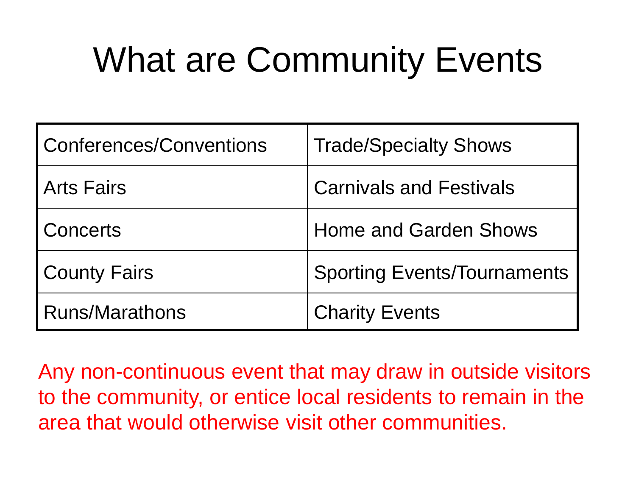### What are Community Events

| <b>Conferences/Conventions</b> | <b>Trade/Specialty Shows</b>       |
|--------------------------------|------------------------------------|
| <b>Arts Fairs</b>              | <b>Carnivals and Festivals</b>     |
| Concerts                       | <b>Home and Garden Shows</b>       |
| <b>County Fairs</b>            | <b>Sporting Events/Tournaments</b> |
| Runs/Marathons                 | <b>Charity Events</b>              |

Any non-continuous event that may draw in outside visitors to the community, or entice local residents to remain in the area that would otherwise visit other communities.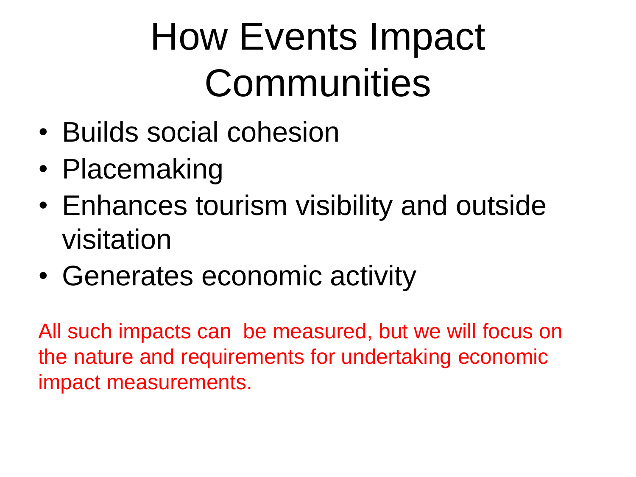# How Events Impact **Communities**

- Builds social cohesion
- Placemaking
- Enhances tourism visibility and outside visitation
- Generates economic activity

All such impacts can be measured, but we will focus on the nature and requirements for undertaking economic impact measurements.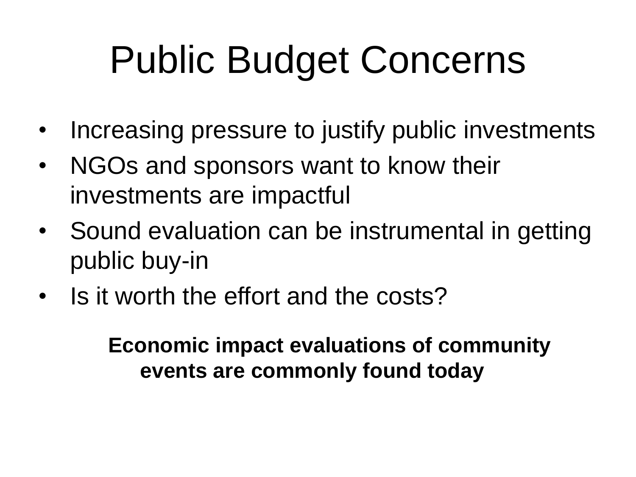# Public Budget Concerns

- Increasing pressure to justify public investments
- NGOs and sponsors want to know their investments are impactful
- Sound evaluation can be instrumental in getting public buy-in
- Is it worth the effort and the costs?

**Economic impact evaluations of community events are commonly found today**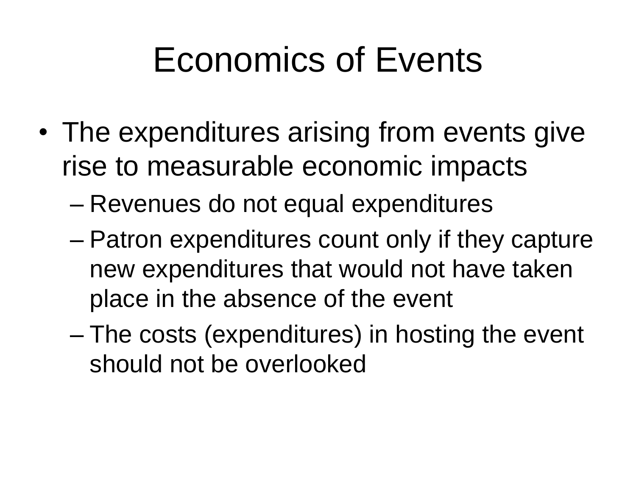- The expenditures arising from events give rise to measurable economic impacts
	- Revenues do not equal expenditures
	- Patron expenditures count only if they capture new expenditures that would not have taken place in the absence of the event
	- The costs (expenditures) in hosting the event should not be overlooked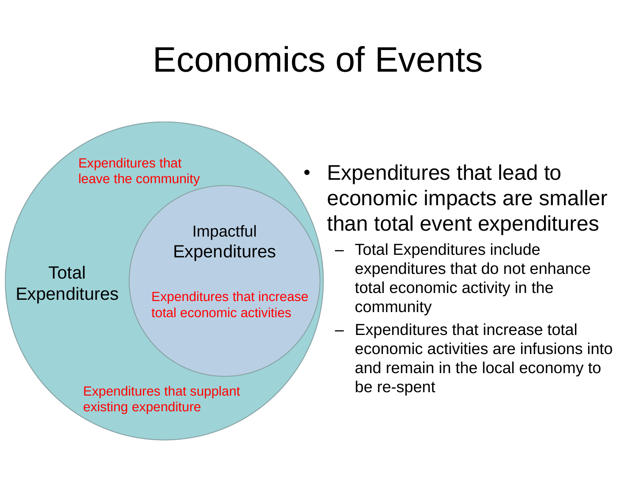

#### Impactful **Expenditures**

Total **Expenditures** 

Expenditures that increase total economic activities

Expenditures that supplant existing expenditure

- Expenditures that lead to economic impacts are smaller than total event expenditures
	- Total Expenditures include expenditures that do not enhance total economic activity in the community
	- Expenditures that increase total economic activities are infusions into and remain in the local economy to be re-spent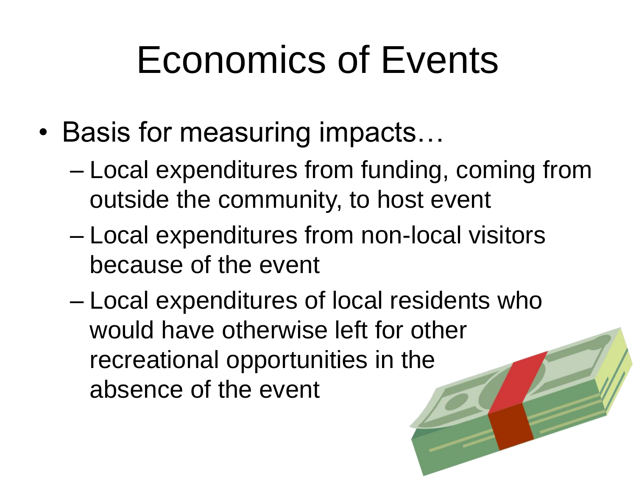- Basis for measuring impacts…
	- Local expenditures from funding, coming from outside the community, to host event
	- Local expenditures from non-local visitors because of the event
	- Local expenditures of local residents who would have otherwise left for other recreational opportunities in the absence of the event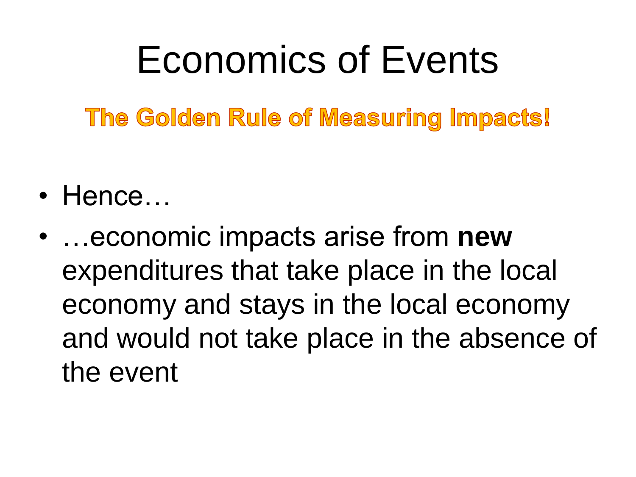The Golden Rule of Measuring Impacts!

- Hence…
- …economic impacts arise from **new** expenditures that take place in the local economy and stays in the local economy and would not take place in the absence of the event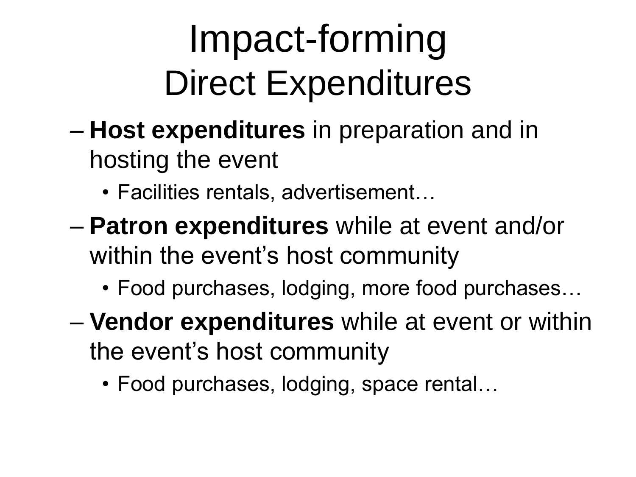- **Host expenditures** in preparation and in hosting the event
	- Facilities rentals, advertisement…
- **Patron expenditures** while at event and/or within the event's host community
	- Food purchases, lodging, more food purchases…
- **Vendor expenditures** while at event or within the event's host community
	- Food purchases, lodging, space rental…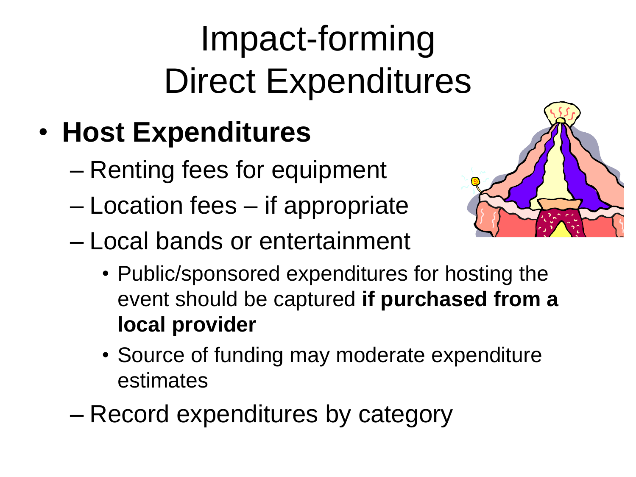### • **Host Expenditures**

- Renting fees for equipment
- Location fees if appropriate
- Local bands or entertainment



- Public/sponsored expenditures for hosting the event should be captured **if purchased from a local provider**
- Source of funding may moderate expenditure estimates
- Record expenditures by category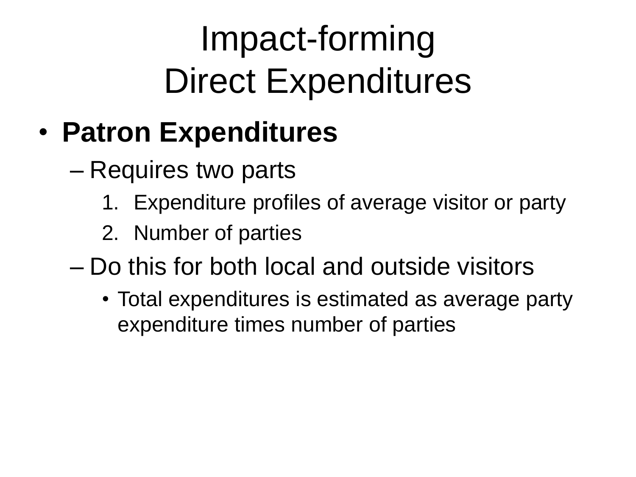#### • **Patron Expenditures**

- Requires two parts
	- 1. Expenditure profiles of average visitor or party
	- 2. Number of parties
- Do this for both local and outside visitors
	- Total expenditures is estimated as average party expenditure times number of parties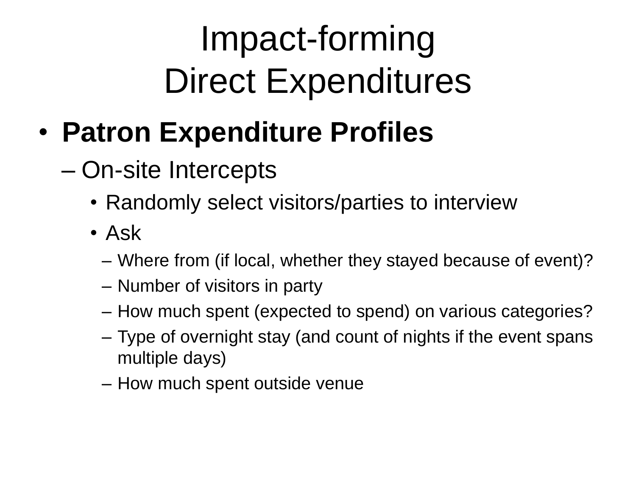- **Patron Expenditure Profiles**
	- On-site Intercepts
		- Randomly select visitors/parties to interview
		- Ask
			- Where from (if local, whether they stayed because of event)?
			- Number of visitors in party
			- How much spent (expected to spend) on various categories?
			- Type of overnight stay (and count of nights if the event spans multiple days)
			- How much spent outside venue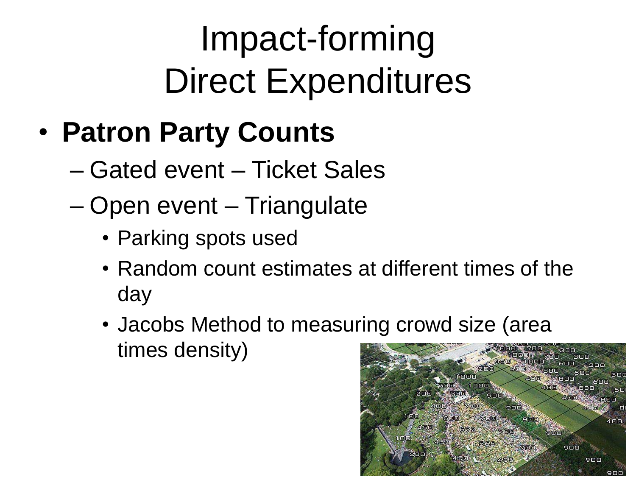#### • **Patron Party Counts**

- Gated event Ticket Sales
- Open event Triangulate
	- Parking spots used
	- Random count estimates at different times of the day
	- Jacobs Method to measuring crowd size (area times density)

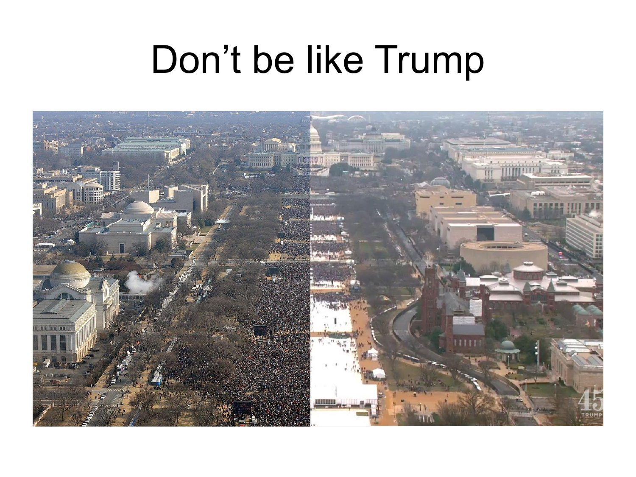### Don't be like Trump

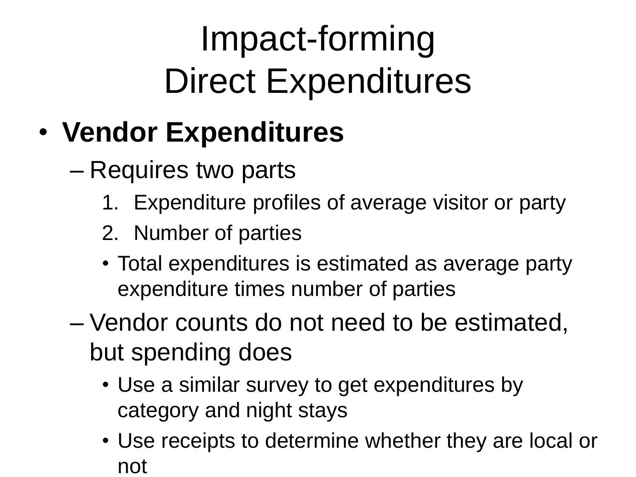### • **Vendor Expenditures**

– Requires two parts

- 1. Expenditure profiles of average visitor or party
- 2. Number of parties
- Total expenditures is estimated as average party expenditure times number of parties
- Vendor counts do not need to be estimated, but spending does
	- Use a similar survey to get expenditures by category and night stays
	- Use receipts to determine whether they are local or not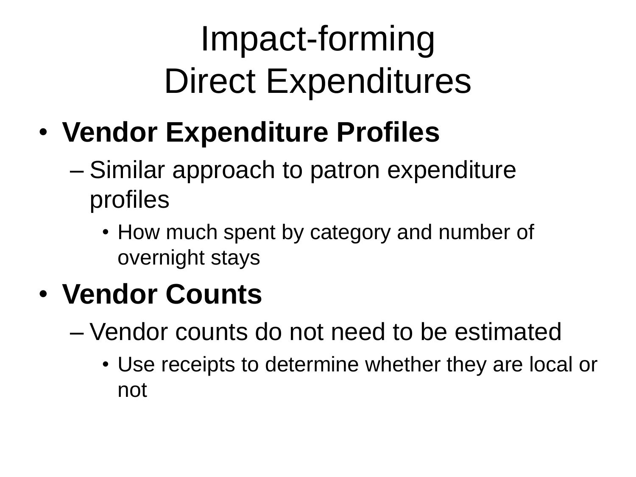- **Vendor Expenditure Profiles**
	- Similar approach to patron expenditure profiles
		- How much spent by category and number of overnight stays

#### • **Vendor Counts**

- Vendor counts do not need to be estimated
	- Use receipts to determine whether they are local or not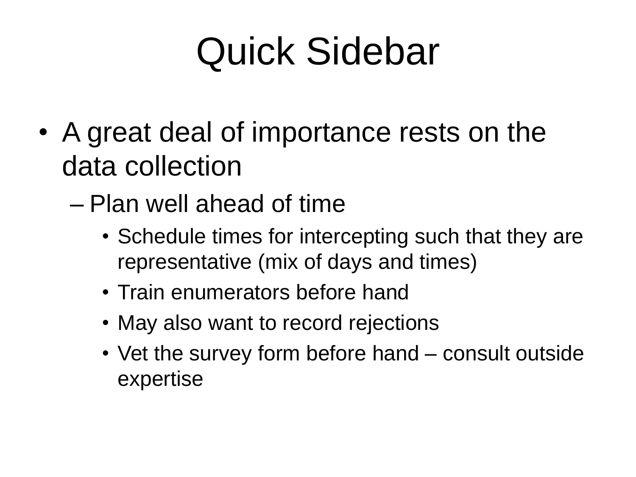- A great deal of importance rests on the data collection
	- Plan well ahead of time
		- Schedule times for intercepting such that they are representative (mix of days and times)
		- Train enumerators before hand
		- May also want to record rejections
		- Vet the survey form before hand consult outside expertise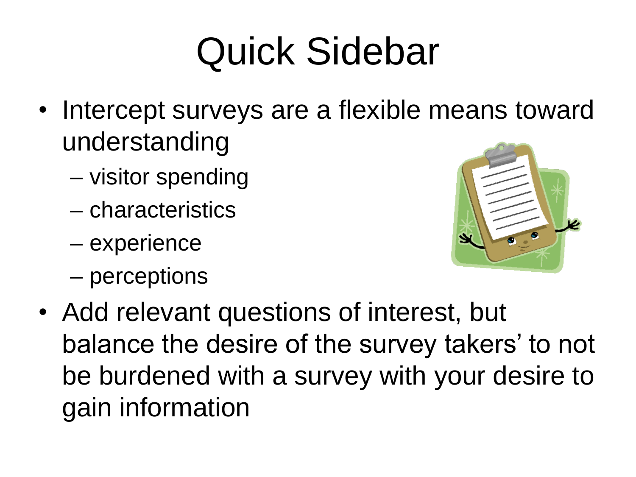- Intercept surveys are a flexible means toward understanding
	- visitor spending
	- characteristics
	- experience
	- perceptions



• Add relevant questions of interest, but balance the desire of the survey takers' to not be burdened with a survey with your desire to gain information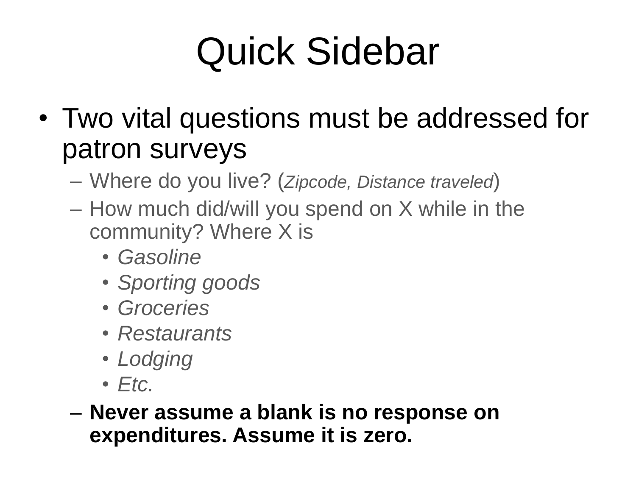- Two vital questions must be addressed for patron surveys
	- Where do you live? (*Zipcode, Distance traveled*)
	- How much did/will you spend on X while in the community? Where X is
		- *Gasoline*
		- *Sporting goods*
		- *Groceries*
		- *Restaurants*
		- *Lodging*
		- *Etc.*

– **Never assume a blank is no response on expenditures. Assume it is zero.**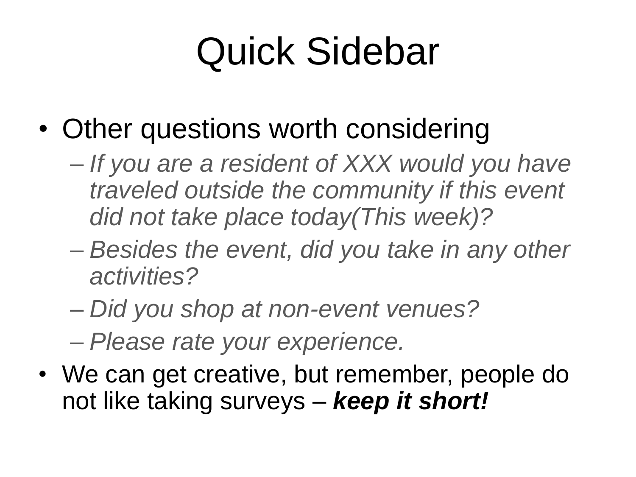- Other questions worth considering
	- *If you are a resident of XXX would you have traveled outside the community if this event did not take place today(This week)?*
	- *Besides the event, did you take in any other activities?*
	- *Did you shop at non-event venues?*
	- *Please rate your experience.*
- We can get creative, but remember, people do not like taking surveys – *keep it short!*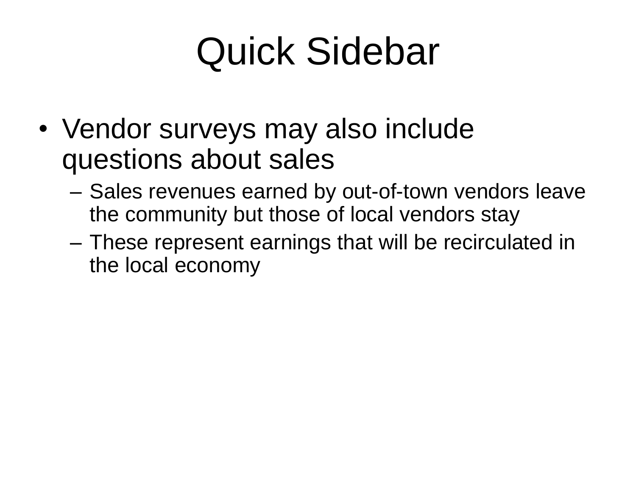- Vendor surveys may also include questions about sales
	- Sales revenues earned by out-of-town vendors leave the community but those of local vendors stay
	- These represent earnings that will be recirculated in the local economy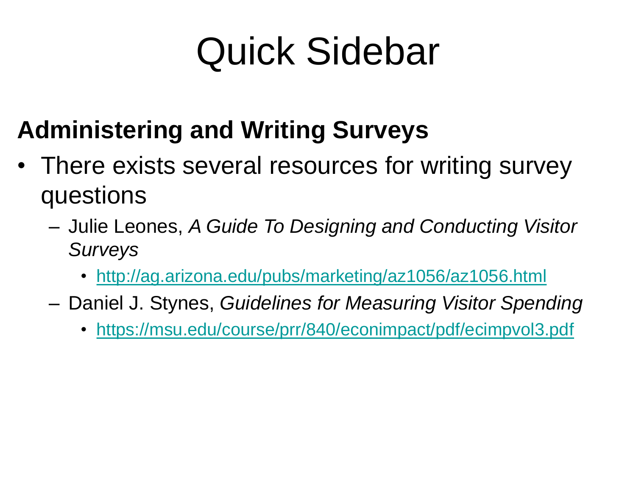#### **Administering and Writing Surveys**

- There exists several resources for writing survey questions
	- Julie Leones, *A Guide To Designing and Conducting Visitor Surveys*
		- <http://ag.arizona.edu/pubs/marketing/az1056/az1056.html>
	- Daniel J. Stynes, *Guidelines for Measuring Visitor Spending*
		- <https://msu.edu/course/prr/840/econimpact/pdf/ecimpvol3.pdf>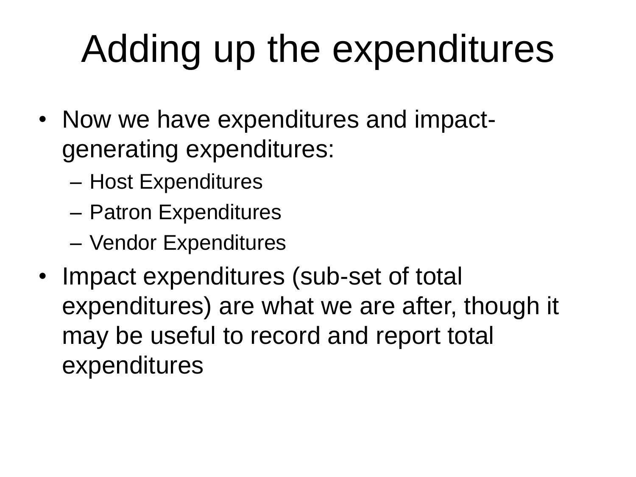# Adding up the expenditures

- Now we have expenditures and impactgenerating expenditures:
	- Host Expenditures
	- Patron Expenditures
	- Vendor Expenditures
- Impact expenditures (sub-set of total expenditures) are what we are after, though it may be useful to record and report total expenditures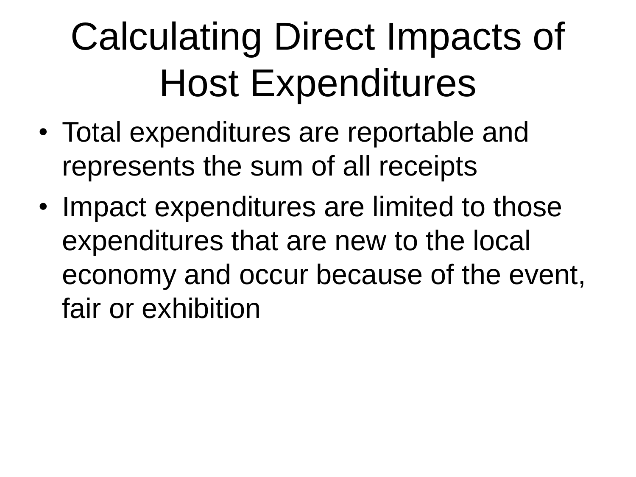# Calculating Direct Impacts of Host Expenditures

- Total expenditures are reportable and represents the sum of all receipts
- Impact expenditures are limited to those expenditures that are new to the local economy and occur because of the event, fair or exhibition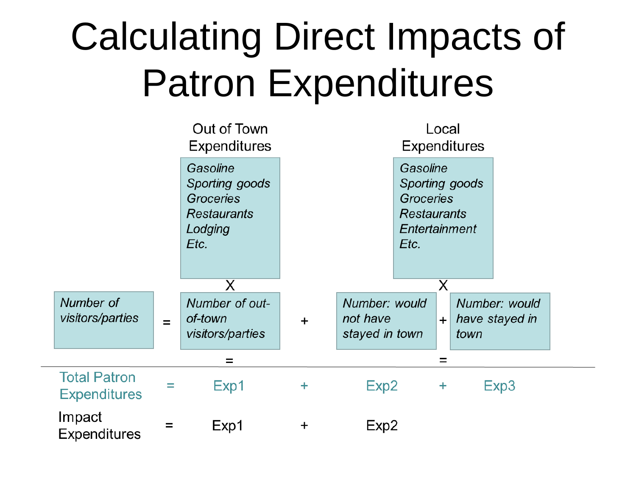# Calculating Direct Impacts of Patron Expenditures

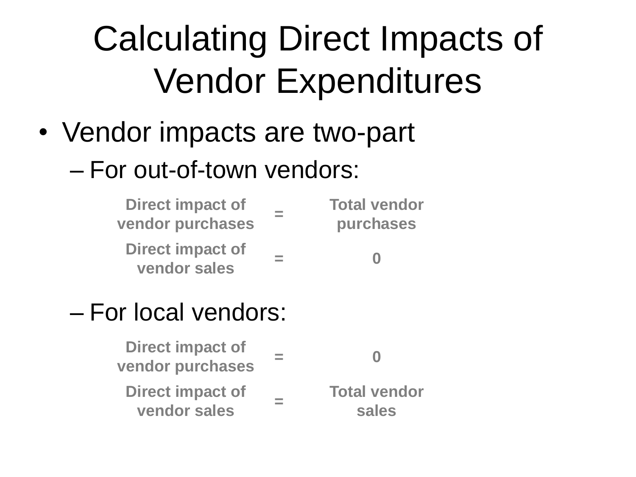### Calculating Direct Impacts of Vendor Expenditures

- Vendor impacts are two-part
	- For out-of-town vendors:

| <b>Direct impact of</b><br>vendor purchases | <b>Total vendor</b><br>purchases |
|---------------------------------------------|----------------------------------|
| <b>Direct impact of</b><br>vendor sales     |                                  |

#### – For local vendors:

| <b>Direct impact of</b><br>vendor purchases | 0              |
|---------------------------------------------|----------------|
| <b>Direct impact of</b>                     | <b>Total v</b> |
| vendor sales                                | sal            |

**Total vendor sales**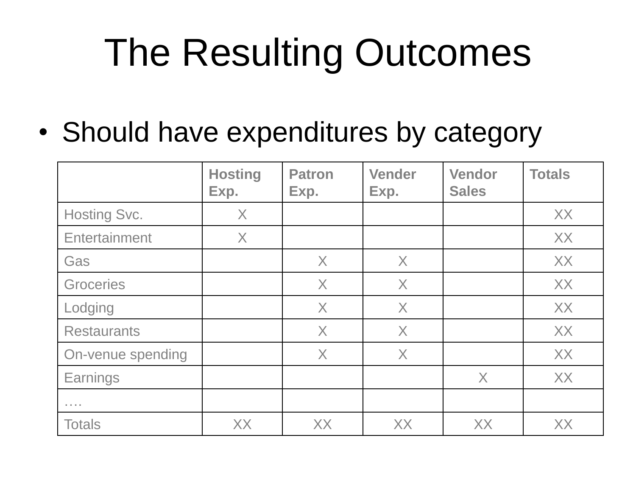# The Resulting Outcomes

• Should have expenditures by category

|                                                      | <b>Hosting</b><br>Exp. | <b>Patron</b><br>Exp. | <b>Vender</b><br>Exp. | <b>Vendor</b><br><b>Sales</b> | <b>Totals</b> |
|------------------------------------------------------|------------------------|-----------------------|-----------------------|-------------------------------|---------------|
| <b>Hosting Svc.</b>                                  | $\times$               |                       |                       |                               | XX            |
| Entertainment                                        | X                      |                       |                       |                               | XX            |
| Gas                                                  |                        | $\times$              | $\chi$                |                               | <b>XX</b>     |
| Groceries                                            |                        | $\times$              | X                     |                               | XX            |
| Lodging                                              |                        | X                     | X                     |                               | XX            |
| <b>Restaurants</b>                                   |                        | $\times$              | X                     |                               | XX            |
| On-venue spending                                    |                        | X                     | $\chi$                |                               | XX            |
| Earnings                                             |                        |                       |                       | X                             | XX            |
| $\alpha$ , $\alpha$ , $\alpha$ , $\alpha$ , $\alpha$ |                        |                       |                       |                               |               |
| <b>Totals</b>                                        | XX                     | XX                    | XX                    | XX                            | XX            |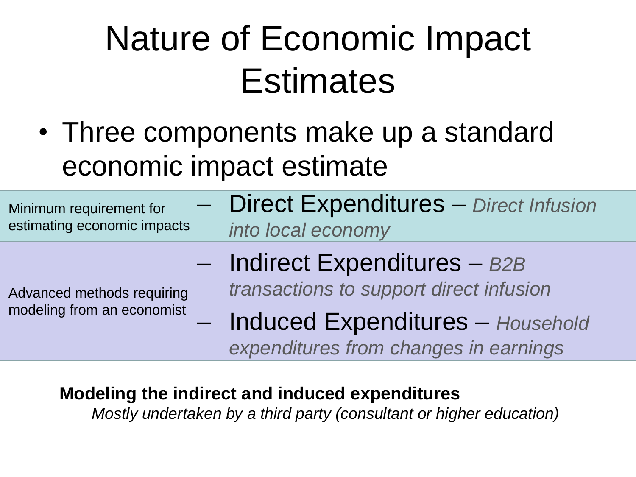### Nature of Economic Impact **Estimates**

• Three components make up a standard economic impact estimate

| Minimum requirement for<br>estimating economic impacts   | <b>Direct Expenditures</b> - Direct Infusion<br>into local economy                                                      |
|----------------------------------------------------------|-------------------------------------------------------------------------------------------------------------------------|
| Advanced methods requiring<br>modeling from an economist | $-$ Indirect Expenditures $-$ B2B<br>transactions to support direct infusion<br><b>Induced Expenditures - Household</b> |
|                                                          | expenditures from changes in earnings                                                                                   |

#### **Modeling the indirect and induced expenditures**

*Mostly undertaken by a third party (consultant or higher education)*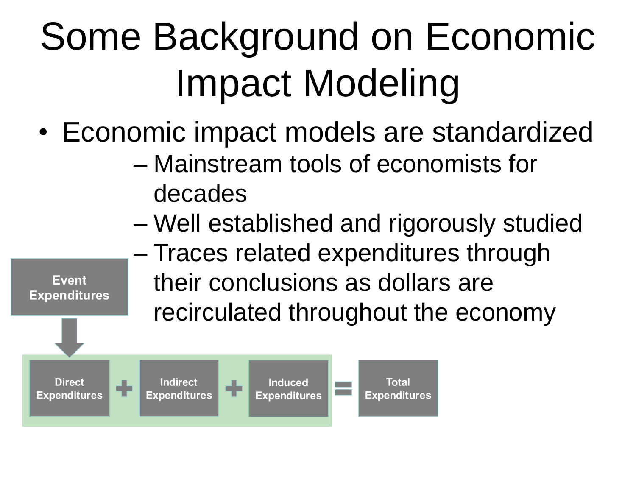# Some Background on Economic Impact Modeling

- Economic impact models are standardized
	- Mainstream tools of economists for decades
	- Well established and rigorously studied
	- Traces related expenditures through their conclusions as dollars are recirculated throughout the economy



**Event Expenditures**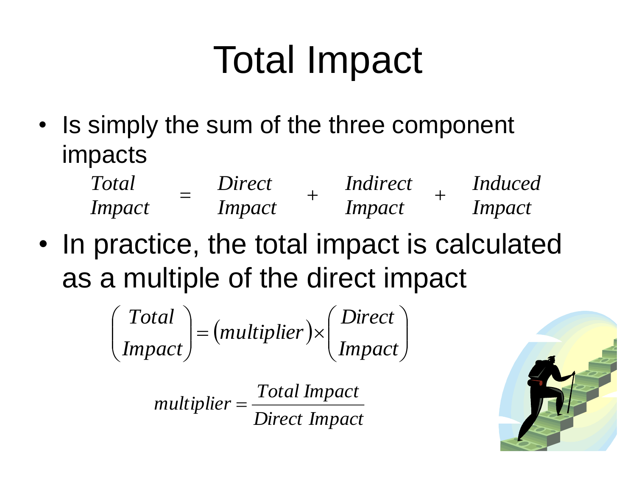# Total Impact

• Is simply the sum of the three component impacts

| Total         | Direct        | <i>Indirect</i> | <i>Induced</i> |
|---------------|---------------|-----------------|----------------|
| <i>Impact</i> | <i>Impact</i> | <i>Impact</i>   | Impact         |

• In practice, the total impact is calculated as a multiple of the direct impact

$$
\begin{pmatrix} Total \\ Impact \end{pmatrix} = (multiplier) \times \begin{pmatrix} Direct \\ Impact \end{pmatrix}
$$

*Direct Impact Total Impact multiplier*